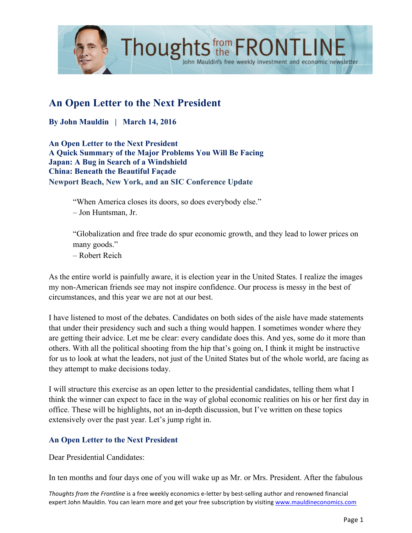

# **An Open Letter to the Next President**

**By John Mauldin | March 14, 2016**

**An Open Letter to the Next President A Quick Summary of the Major Problems You Will Be Facing Japan: A Bug in Search of a Windshield China: Beneath the Beautiful Façade Newport Beach, New York, and an SIC Conference Update**

"When America closes its doors, so does everybody else."

– Jon Huntsman, Jr.

"Globalization and free trade do spur economic growth, and they lead to lower prices on many goods."

John Mauldin's free weekly investment and economic newsletter

– Robert Reich

As the entire world is painfully aware, it is election year in the United States. I realize the images my non-American friends see may not inspire confidence. Our process is messy in the best of circumstances, and this year we are not at our best.

I have listened to most of the debates. Candidates on both sides of the aisle have made statements that under their presidency such and such a thing would happen. I sometimes wonder where they are getting their advice. Let me be clear: every candidate does this. And yes, some do it more than others. With all the political shooting from the hip that's going on, I think it might be instructive for us to look at what the leaders, not just of the United States but of the whole world, are facing as they attempt to make decisions today.

I will structure this exercise as an open letter to the presidential candidates, telling them what I think the winner can expect to face in the way of global economic realities on his or her first day in office. These will be highlights, not an in-depth discussion, but I've written on these topics extensively over the past year. Let's jump right in.

#### **An Open Letter to the Next President**

Dear Presidential Candidates:

In ten months and four days one of you will wake up as Mr. or Mrs. President. After the fabulous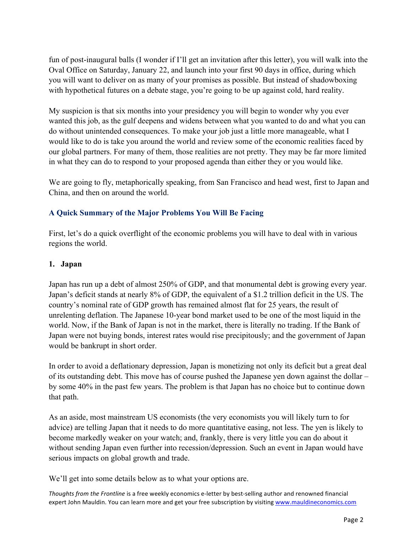fun of post-inaugural balls (I wonder if I'll get an invitation after this letter), you will walk into the Oval Office on Saturday, January 22, and launch into your first 90 days in office, during which you will want to deliver on as many of your promises as possible. But instead of shadowboxing with hypothetical futures on a debate stage, you're going to be up against cold, hard reality.

My suspicion is that six months into your presidency you will begin to wonder why you ever wanted this job, as the gulf deepens and widens between what you wanted to do and what you can do without unintended consequences. To make your job just a little more manageable, what I would like to do is take you around the world and review some of the economic realities faced by our global partners. For many of them, those realities are not pretty. They may be far more limited in what they can do to respond to your proposed agenda than either they or you would like.

We are going to fly, metaphorically speaking, from San Francisco and head west, first to Japan and China, and then on around the world.

## **A Quick Summary of the Major Problems You Will Be Facing**

First, let's do a quick overflight of the economic problems you will have to deal with in various regions the world.

#### **1. Japan**

Japan has run up a debt of almost 250% of GDP, and that monumental debt is growing every year. Japan's deficit stands at nearly 8% of GDP, the equivalent of a \$1.2 trillion deficit in the US. The country's nominal rate of GDP growth has remained almost flat for 25 years, the result of unrelenting deflation. The Japanese 10-year bond market used to be one of the most liquid in the world. Now, if the Bank of Japan is not in the market, there is literally no trading. If the Bank of Japan were not buying bonds, interest rates would rise precipitously; and the government of Japan would be bankrupt in short order.

In order to avoid a deflationary depression, Japan is monetizing not only its deficit but a great deal of its outstanding debt. This move has of course pushed the Japanese yen down against the dollar – by some 40% in the past few years. The problem is that Japan has no choice but to continue down that path.

As an aside, most mainstream US economists (the very economists you will likely turn to for advice) are telling Japan that it needs to do more quantitative easing, not less. The yen is likely to become markedly weaker on your watch; and, frankly, there is very little you can do about it without sending Japan even further into recession/depression. Such an event in Japan would have serious impacts on global growth and trade.

We'll get into some details below as to what your options are.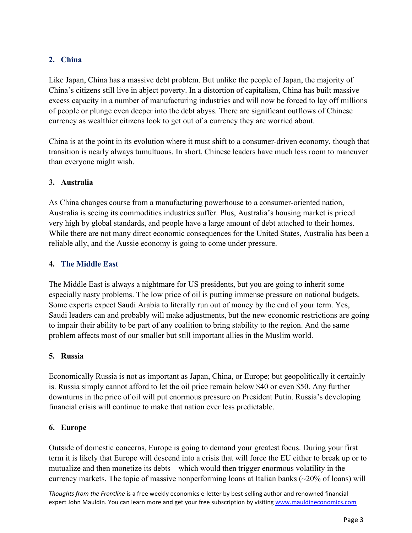# **2. China**

Like Japan, China has a massive debt problem. But unlike the people of Japan, the majority of China's citizens still live in abject poverty. In a distortion of capitalism, China has built massive excess capacity in a number of manufacturing industries and will now be forced to lay off millions of people or plunge even deeper into the debt abyss. There are significant outflows of Chinese currency as wealthier citizens look to get out of a currency they are worried about.

China is at the point in its evolution where it must shift to a consumer-driven economy, though that transition is nearly always tumultuous. In short, Chinese leaders have much less room to maneuver than everyone might wish.

#### **3. Australia**

As China changes course from a manufacturing powerhouse to a consumer-oriented nation, Australia is seeing its commodities industries suffer. Plus, Australia's housing market is priced very high by global standards, and people have a large amount of debt attached to their homes. While there are not many direct economic consequences for the United States, Australia has been a reliable ally, and the Aussie economy is going to come under pressure.

#### **4. The Middle East**

The Middle East is always a nightmare for US presidents, but you are going to inherit some especially nasty problems. The low price of oil is putting immense pressure on national budgets. Some experts expect Saudi Arabia to literally run out of money by the end of your term. Yes, Saudi leaders can and probably will make adjustments, but the new economic restrictions are going to impair their ability to be part of any coalition to bring stability to the region. And the same problem affects most of our smaller but still important allies in the Muslim world.

#### **5. Russia**

Economically Russia is not as important as Japan, China, or Europe; but geopolitically it certainly is. Russia simply cannot afford to let the oil price remain below \$40 or even \$50. Any further downturns in the price of oil will put enormous pressure on President Putin. Russia's developing financial crisis will continue to make that nation ever less predictable.

#### **6. Europe**

Outside of domestic concerns, Europe is going to demand your greatest focus. During your first term it is likely that Europe will descend into a crisis that will force the EU either to break up or to mutualize and then monetize its debts – which would then trigger enormous volatility in the currency markets. The topic of massive nonperforming loans at Italian banks  $(\sim 20\%$  of loans) will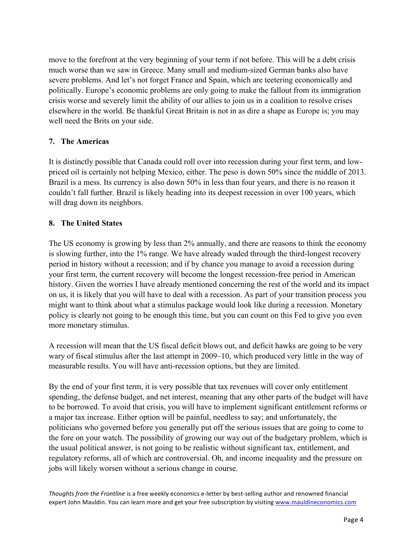move to the forefront at the very beginning of your term if not before. This will be a debt crisis much worse than we saw in Greece. Many small and medium-sized German banks also have severe problems. And let's not forget France and Spain, which are teetering economically and politically. Europe's economic problems are only going to make the fallout from its immigration crisis worse and severely limit the ability of our allies to join us in a coalition to resolve crises elsewhere in the world. Be thankful Great Britain is not in as dire a shape as Europe is; you may well need the Brits on your side.

#### **7. The Americas**

It is distinctly possible that Canada could roll over into recession during your first term, and lowpriced oil is certainly not helping Mexico, either. The peso is down 50% since the middle of 2013. Brazil is a mess. Its currency is also down 50% in less than four years, and there is no reason it couldn't fall further. Brazil is likely heading into its deepest recession in over 100 years, which will drag down its neighbors.

#### **8. The United States**

The US economy is growing by less than 2% annually, and there are reasons to think the economy is slowing further, into the 1% range. We have already waded through the third-longest recovery period in history without a recession; and if by chance you manage to avoid a recession during your first term, the current recovery will become the longest recession-free period in American history. Given the worries I have already mentioned concerning the rest of the world and its impact on us, it is likely that you will have to deal with a recession. As part of your transition process you might want to think about what a stimulus package would look like during a recession. Monetary policy is clearly not going to be enough this time, but you can count on this Fed to give you even more monetary stimulus.

A recession will mean that the US fiscal deficit blows out, and deficit hawks are going to be very wary of fiscal stimulus after the last attempt in 2009–10, which produced very little in the way of measurable results. You will have anti-recession options, but they are limited.

By the end of your first term, it is very possible that tax revenues will cover only entitlement spending, the defense budget, and net interest, meaning that any other parts of the budget will have to be borrowed. To avoid that crisis, you will have to implement significant entitlement reforms or a major tax increase. Either option will be painful, needless to say; and unfortunately, the politicians who governed before you generally put off the serious issues that are going to come to the fore on your watch. The possibility of growing our way out of the budgetary problem, which is the usual political answer, is not going to be realistic without significant tax, entitlement, and regulatory reforms, all of which are controversial. Oh, and income inequality and the pressure on jobs will likely worsen without a serious change in course.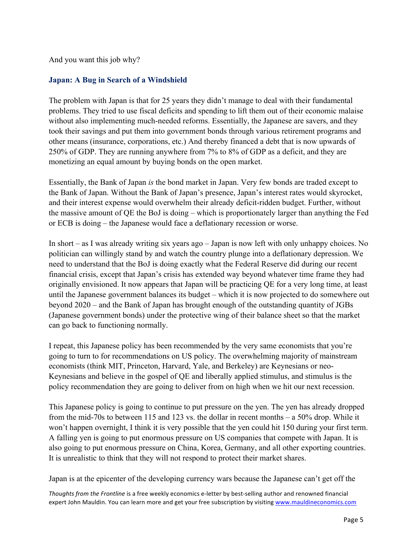And you want this job why?

#### **Japan: A Bug in Search of a Windshield**

The problem with Japan is that for 25 years they didn't manage to deal with their fundamental problems. They tried to use fiscal deficits and spending to lift them out of their economic malaise without also implementing much-needed reforms. Essentially, the Japanese are savers, and they took their savings and put them into government bonds through various retirement programs and other means (insurance, corporations, etc.) And thereby financed a debt that is now upwards of 250% of GDP. They are running anywhere from 7% to 8% of GDP as a deficit, and they are monetizing an equal amount by buying bonds on the open market.

Essentially, the Bank of Japan *is* the bond market in Japan. Very few bonds are traded except to the Bank of Japan. Without the Bank of Japan's presence, Japan's interest rates would skyrocket, and their interest expense would overwhelm their already deficit-ridden budget. Further, without the massive amount of QE the BoJ is doing – which is proportionately larger than anything the Fed or ECB is doing – the Japanese would face a deflationary recession or worse.

In short – as I was already writing six years ago – Japan is now left with only unhappy choices. No politician can willingly stand by and watch the country plunge into a deflationary depression. We need to understand that the BoJ is doing exactly what the Federal Reserve did during our recent financial crisis, except that Japan's crisis has extended way beyond whatever time frame they had originally envisioned. It now appears that Japan will be practicing QE for a very long time, at least until the Japanese government balances its budget – which it is now projected to do somewhere out beyond 2020 – and the Bank of Japan has brought enough of the outstanding quantity of JGBs (Japanese government bonds) under the protective wing of their balance sheet so that the market can go back to functioning normally.

I repeat, this Japanese policy has been recommended by the very same economists that you're going to turn to for recommendations on US policy. The overwhelming majority of mainstream economists (think MIT, Princeton, Harvard, Yale, and Berkeley) are Keynesians or neo-Keynesians and believe in the gospel of QE and liberally applied stimulus, and stimulus is the policy recommendation they are going to deliver from on high when we hit our next recession.

This Japanese policy is going to continue to put pressure on the yen. The yen has already dropped from the mid-70s to between 115 and 123 vs. the dollar in recent months – a 50% drop. While it won't happen overnight, I think it is very possible that the yen could hit 150 during your first term. A falling yen is going to put enormous pressure on US companies that compete with Japan. It is also going to put enormous pressure on China, Korea, Germany, and all other exporting countries. It is unrealistic to think that they will not respond to protect their market shares.

Japan is at the epicenter of the developing currency wars because the Japanese can't get off the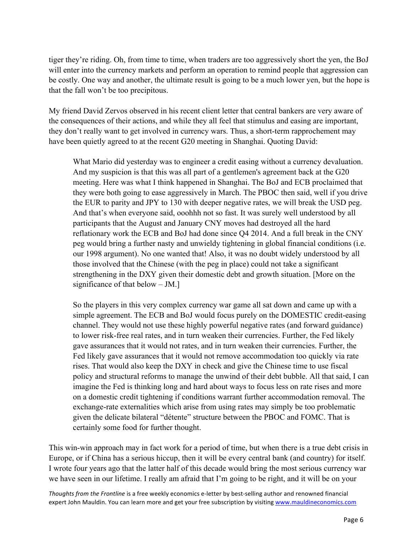tiger they're riding. Oh, from time to time, when traders are too aggressively short the yen, the BoJ will enter into the currency markets and perform an operation to remind people that aggression can be costly. One way and another, the ultimate result is going to be a much lower yen, but the hope is that the fall won't be too precipitous.

My friend David Zervos observed in his recent client letter that central bankers are very aware of the consequences of their actions, and while they all feel that stimulus and easing are important, they don't really want to get involved in currency wars. Thus, a short-term rapprochement may have been quietly agreed to at the recent G20 meeting in Shanghai. Quoting David:

What Mario did yesterday was to engineer a credit easing without a currency devaluation. And my suspicion is that this was all part of a gentlemen's agreement back at the G20 meeting. Here was what I think happened in Shanghai. The BoJ and ECB proclaimed that they were both going to ease aggressively in March. The PBOC then said, well if you drive the EUR to parity and JPY to 130 with deeper negative rates, we will break the USD peg. And that's when everyone said, ooohhh not so fast. It was surely well understood by all participants that the August and January CNY moves had destroyed all the hard reflationary work the ECB and BoJ had done since Q4 2014. And a full break in the CNY peg would bring a further nasty and unwieldy tightening in global financial conditions (i.e. our 1998 argument). No one wanted that! Also, it was no doubt widely understood by all those involved that the Chinese (with the peg in place) could not take a significant strengthening in the DXY given their domestic debt and growth situation. [More on the significance of that below – JM.]

So the players in this very complex currency war game all sat down and came up with a simple agreement. The ECB and BoJ would focus purely on the DOMESTIC credit-easing channel. They would not use these highly powerful negative rates (and forward guidance) to lower risk-free real rates, and in turn weaken their currencies. Further, the Fed likely gave assurances that it would not rates, and in turn weaken their currencies. Further, the Fed likely gave assurances that it would not remove accommodation too quickly via rate rises. That would also keep the DXY in check and give the Chinese time to use fiscal policy and structural reforms to manage the unwind of their debt bubble. All that said, I can imagine the Fed is thinking long and hard about ways to focus less on rate rises and more on a domestic credit tightening if conditions warrant further accommodation removal. The exchange-rate externalities which arise from using rates may simply be too problematic given the delicate bilateral "détente" structure between the PBOC and FOMC. That is certainly some food for further thought.

This win-win approach may in fact work for a period of time, but when there is a true debt crisis in Europe, or if China has a serious hiccup, then it will be every central bank (and country) for itself. I wrote four years ago that the latter half of this decade would bring the most serious currency war we have seen in our lifetime. I really am afraid that I'm going to be right, and it will be on your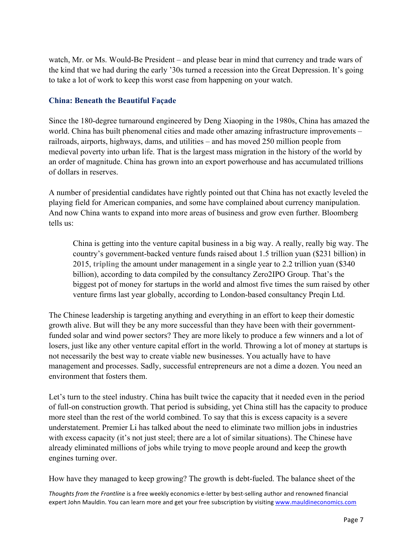watch, Mr. or Ms. Would-Be President – and please bear in mind that currency and trade wars of the kind that we had during the early '30s turned a recession into the Great Depression. It's going to take a lot of work to keep this worst case from happening on your watch.

#### **China: Beneath the Beautiful Façade**

Since the 180-degree turnaround engineered by Deng Xiaoping in the 1980s, China has amazed the world. China has built phenomenal cities and made other amazing infrastructure improvements – railroads, airports, highways, dams, and utilities – and has moved 250 million people from medieval poverty into urban life. That is the largest mass migration in the history of the world by an order of magnitude. China has grown into an export powerhouse and has accumulated trillions of dollars in reserves.

A number of presidential candidates have rightly pointed out that China has not exactly leveled the playing field for American companies, and some have complained about currency manipulation. And now China wants to expand into more areas of business and grow even further. Bloomberg tells us:

China is getting into the venture capital business in a big way. A really, really big way. The country's government-backed venture funds raised about 1.5 trillion yuan (\$231 billion) in 2015, **tripling** the amount under management in a single year to 2.2 trillion yuan (\$340 billion), according to data compiled by the consultancy Zero2IPO Group. That's the biggest pot of money for startups in the world and almost five times the sum raised by other venture firms last year globally, according to London-based consultancy Preqin Ltd.

The Chinese leadership is targeting anything and everything in an effort to keep their domestic growth alive. But will they be any more successful than they have been with their governmentfunded solar and wind power sectors? They are more likely to produce a few winners and a lot of losers, just like any other venture capital effort in the world. Throwing a lot of money at startups is not necessarily the best way to create viable new businesses. You actually have to have management and processes. Sadly, successful entrepreneurs are not a dime a dozen. You need an environment that fosters them.

Let's turn to the steel industry. China has built twice the capacity that it needed even in the period of full-on construction growth. That period is subsiding, yet China still has the capacity to produce more steel than the rest of the world combined. To say that this is excess capacity is a severe understatement. Premier Li has talked about the need to eliminate two million jobs in industries with excess capacity (it's not just steel; there are a lot of similar situations). The Chinese have already eliminated millions of jobs while trying to move people around and keep the growth engines turning over.

How have they managed to keep growing? The growth is debt-fueled. The balance sheet of the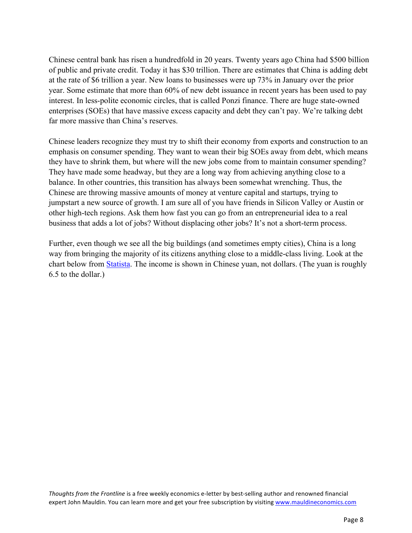Chinese central bank has risen a hundredfold in 20 years. Twenty years ago China had \$500 billion of public and private credit. Today it has \$30 trillion. There are estimates that China is adding debt at the rate of \$6 trillion a year. New loans to businesses were up 73% in January over the prior year. Some estimate that more than 60% of new debt issuance in recent years has been used to pay interest. In less-polite economic circles, that is called Ponzi finance. There are huge state-owned enterprises (SOEs) that have massive excess capacity and debt they can't pay. We're talking debt far more massive than China's reserves.

Chinese leaders recognize they must try to shift their economy from exports and construction to an emphasis on consumer spending. They want to wean their big SOEs away from debt, which means they have to shrink them, but where will the new jobs come from to maintain consumer spending? They have made some headway, but they are a long way from achieving anything close to a balance. In other countries, this transition has always been somewhat wrenching. Thus, the Chinese are throwing massive amounts of money at venture capital and startups, trying to jumpstart a new source of growth. I am sure all of you have friends in Silicon Valley or Austin or other high-tech regions. Ask them how fast you can go from an entrepreneurial idea to a real business that adds a lot of jobs? Without displacing other jobs? It's not a short-term process.

Further, even though we see all the big buildings (and sometimes empty cities), China is a long way from bringing the majority of its citizens anything close to a middle-class living. Look at the chart below from [Statista.](http://www.statista.com/) The income is shown in Chinese yuan, not dollars. (The yuan is roughly 6.5 to the dollar.)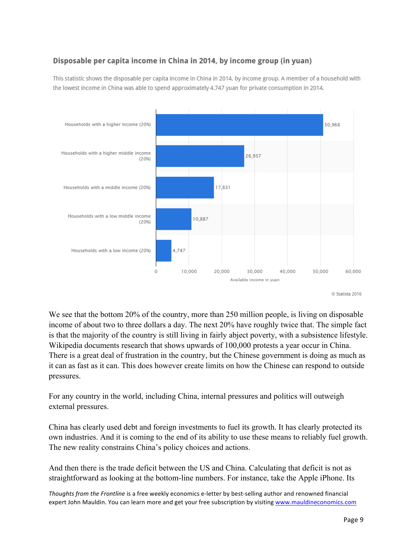# Disposable per capita income in China in 2014, by income group (in yuan)

This statistic shows the disposable per capita income in China in 2014, by income group. A member of a household with the lowest income in China was able to spend approximately 4,747 yuan for private consumption in 2014.



We see that the bottom 20% of the country, more than 250 million people, is living on disposable income of about two to three dollars a day. The next 20% have roughly twice that. The simple fact is that the majority of the country is still living in fairly abject poverty, with a subsistence lifestyle. Wikipedia documents research that shows upwards of 100,000 protests a year occur in China. There is a great deal of frustration in the country, but the Chinese government is doing as much as it can as fast as it can. This does however create limits on how the Chinese can respond to outside pressures.

For any country in the world, including China, internal pressures and politics will outweigh external pressures.

China has clearly used debt and foreign investments to fuel its growth. It has clearly protected its own industries. And it is coming to the end of its ability to use these means to reliably fuel growth. The new reality constrains China's policy choices and actions.

And then there is the trade deficit between the US and China. Calculating that deficit is not as straightforward as looking at the bottom-line numbers. For instance, take the Apple iPhone. Its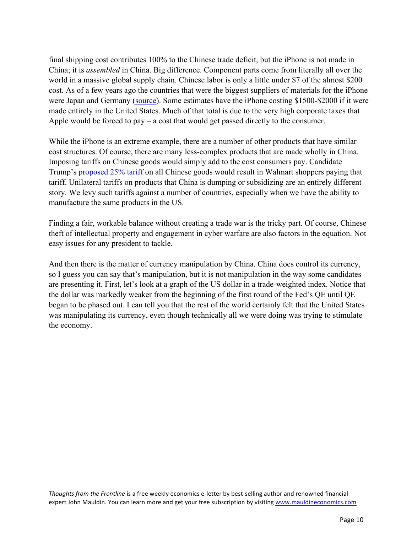final shipping cost contributes 100% to the Chinese trade deficit, but the iPhone is not made in China; it is *assembled* in China. Big difference. Component parts come from literally all over the world in a massive global supply chain. Chinese labor is only a little under \$7 of the almost \$200 cost. As of a few years ago the countries that were the biggest suppliers of materials for the iPhone were Japan and Germany [\(source\)](http://www.voxeu.org/article/how-iphone-widens-us-trade-deficit-china). Some estimates have the iPhone costing \$1500-\$2000 if it were made entirely in the United States. Much of that total is due to the very high corporate taxes that Apple would be forced to  $pay - a cost that would get passed directly to the consumer.$ 

While the iPhone is an extreme example, there are a number of other products that have similar cost structures. Of course, there are many less-complex products that are made wholly in China. Imposing tariffs on Chinese goods would simply add to the cost consumers pay. Candidate Trump's [proposed 25% tariff](http://www.msnbc.com/msnbc/donald-trump-wants-tax-the-world-even-legal) on all Chinese goods would result in Walmart shoppers paying that tariff. Unilateral tariffs on products that China is dumping or subsidizing are an entirely different story. We levy such tariffs against a number of countries, especially when we have the ability to manufacture the same products in the US.

Finding a fair, workable balance without creating a trade war is the tricky part. Of course, Chinese theft of intellectual property and engagement in cyber warfare are also factors in the equation. Not easy issues for any president to tackle.

And then there is the matter of currency manipulation by China. China does control its currency, so I guess you can say that's manipulation, but it is not manipulation in the way some candidates are presenting it. First, let's look at a graph of the US dollar in a trade-weighted index. Notice that the dollar was markedly weaker from the beginning of the first round of the Fed's QE until QE began to be phased out. I can tell you that the rest of the world certainly felt that the United States was manipulating its currency, even though technically all we were doing was trying to stimulate the economy.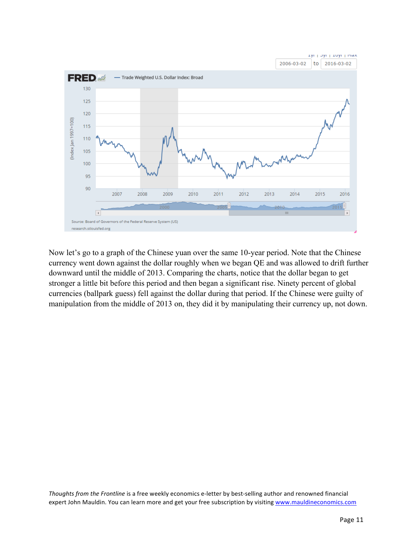

Now let's go to a graph of the Chinese yuan over the same 10-year period. Note that the Chinese currency went down against the dollar roughly when we began QE and was allowed to drift further downward until the middle of 2013. Comparing the charts, notice that the dollar began to get stronger a little bit before this period and then began a significant rise. Ninety percent of global currencies (ballpark guess) fell against the dollar during that period. If the Chinese were guilty of manipulation from the middle of 2013 on, they did it by manipulating their currency up, not down.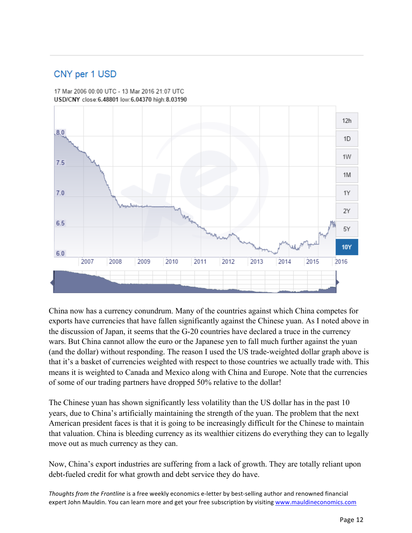# CNY per 1 USD

17 Mar 2006 00:00 UTC - 13 Mar 2016 21:07 UTC USD/CNY close:6.48801 low:6.04370 high:8.03190



China now has a currency conundrum. Many of the countries against which China competes for exports have currencies that have fallen significantly against the Chinese yuan. As I noted above in the discussion of Japan, it seems that the G-20 countries have declared a truce in the currency wars. But China cannot allow the euro or the Japanese yen to fall much further against the yuan (and the dollar) without responding. The reason I used the US trade-weighted dollar graph above is that it's a basket of currencies weighted with respect to those countries we actually trade with. This means it is weighted to Canada and Mexico along with China and Europe. Note that the currencies of some of our trading partners have dropped 50% relative to the dollar!

The Chinese yuan has shown significantly less volatility than the US dollar has in the past 10 years, due to China's artificially maintaining the strength of the yuan. The problem that the next American president faces is that it is going to be increasingly difficult for the Chinese to maintain that valuation. China is bleeding currency as its wealthier citizens do everything they can to legally move out as much currency as they can.

Now, China's export industries are suffering from a lack of growth. They are totally reliant upon debt-fueled credit for what growth and debt service they do have.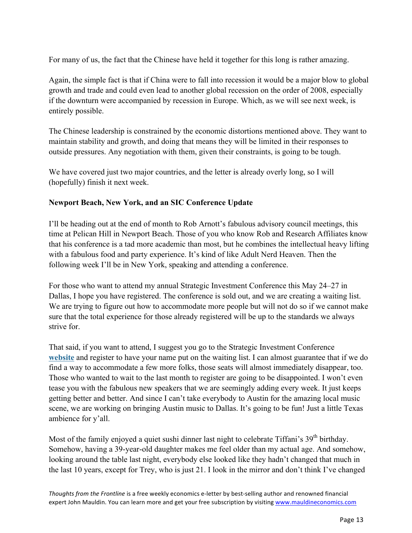For many of us, the fact that the Chinese have held it together for this long is rather amazing.

Again, the simple fact is that if China were to fall into recession it would be a major blow to global growth and trade and could even lead to another global recession on the order of 2008, especially if the downturn were accompanied by recession in Europe. Which, as we will see next week, is entirely possible.

The Chinese leadership is constrained by the economic distortions mentioned above. They want to maintain stability and growth, and doing that means they will be limited in their responses to outside pressures. Any negotiation with them, given their constraints, is going to be tough.

We have covered just two major countries, and the letter is already overly long, so I will (hopefully) finish it next week.

#### **Newport Beach, New York, and an SIC Conference Update**

I'll be heading out at the end of month to Rob Arnott's fabulous advisory council meetings, this time at Pelican Hill in Newport Beach. Those of you who know Rob and Research Affiliates know that his conference is a tad more academic than most, but he combines the intellectual heavy lifting with a fabulous food and party experience. It's kind of like Adult Nerd Heaven. Then the following week I'll be in New York, speaking and attending a conference.

For those who want to attend my annual Strategic Investment Conference this May 24–27 in Dallas, I hope you have registered. The conference is sold out, and we are creating a waiting list. We are trying to figure out how to accommodate more people but will not do so if we cannot make sure that the total experience for those already registered will be up to the standards we always strive for.

That said, if you want to attend, I suggest you go to the Strategic Investment Conference **[website](http://www.mauldineconomics.com/go/usjew-2/MEC/?utm_medium=subscribers&utm_source=frt&utm_campaign=SIC&utm_content=email)** and register to have your name put on the waiting list. I can almost guarantee that if we do find a way to accommodate a few more folks, those seats will almost immediately disappear, too. Those who wanted to wait to the last month to register are going to be disappointed. I won't even tease you with the fabulous new speakers that we are seemingly adding every week. It just keeps getting better and better. And since I can't take everybody to Austin for the amazing local music scene, we are working on bringing Austin music to Dallas. It's going to be fun! Just a little Texas ambience for y'all.

Most of the family enjoyed a quiet sushi dinner last night to celebrate Tiffani's 39<sup>th</sup> birthday. Somehow, having a 39-year-old daughter makes me feel older than my actual age. And somehow, looking around the table last night, everybody else looked like they hadn't changed that much in the last 10 years, except for Trey, who is just 21. I look in the mirror and don't think I've changed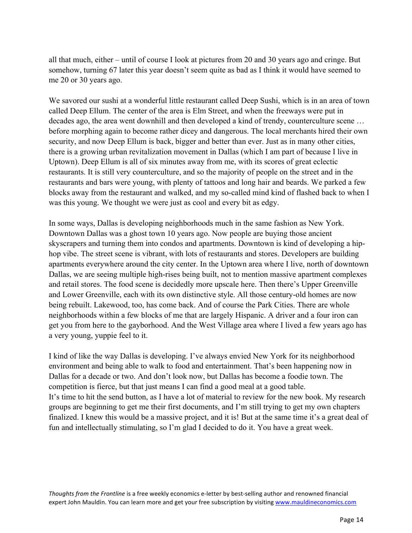all that much, either – until of course I look at pictures from 20 and 30 years ago and cringe. But somehow, turning 67 later this year doesn't seem quite as bad as I think it would have seemed to me 20 or 30 years ago.

We savored our sushi at a wonderful little restaurant called Deep Sushi, which is in an area of town called Deep Ellum. The center of the area is Elm Street, and when the freeways were put in decades ago, the area went downhill and then developed a kind of trendy, counterculture scene … before morphing again to become rather dicey and dangerous. The local merchants hired their own security, and now Deep Ellum is back, bigger and better than ever. Just as in many other cities, there is a growing urban revitalization movement in Dallas (which I am part of because I live in Uptown). Deep Ellum is all of six minutes away from me, with its scores of great eclectic restaurants. It is still very counterculture, and so the majority of people on the street and in the restaurants and bars were young, with plenty of tattoos and long hair and beards. We parked a few blocks away from the restaurant and walked, and my so-called mind kind of flashed back to when I was this young. We thought we were just as cool and every bit as edgy.

In some ways, Dallas is developing neighborhoods much in the same fashion as New York. Downtown Dallas was a ghost town 10 years ago. Now people are buying those ancient skyscrapers and turning them into condos and apartments. Downtown is kind of developing a hiphop vibe. The street scene is vibrant, with lots of restaurants and stores. Developers are building apartments everywhere around the city center. In the Uptown area where I live, north of downtown Dallas, we are seeing multiple high-rises being built, not to mention massive apartment complexes and retail stores. The food scene is decidedly more upscale here. Then there's Upper Greenville and Lower Greenville, each with its own distinctive style. All those century-old homes are now being rebuilt. Lakewood, too, has come back. And of course the Park Cities. There are whole neighborhoods within a few blocks of me that are largely Hispanic. A driver and a four iron can get you from here to the gayborhood. And the West Village area where I lived a few years ago has a very young, yuppie feel to it.

I kind of like the way Dallas is developing. I've always envied New York for its neighborhood environment and being able to walk to food and entertainment. That's been happening now in Dallas for a decade or two. And don't look now, but Dallas has become a foodie town. The competition is fierce, but that just means I can find a good meal at a good table. It's time to hit the send button, as I have a lot of material to review for the new book. My research groups are beginning to get me their first documents, and I'm still trying to get my own chapters finalized. I knew this would be a massive project, and it is! But at the same time it's a great deal of fun and intellectually stimulating, so I'm glad I decided to do it. You have a great week.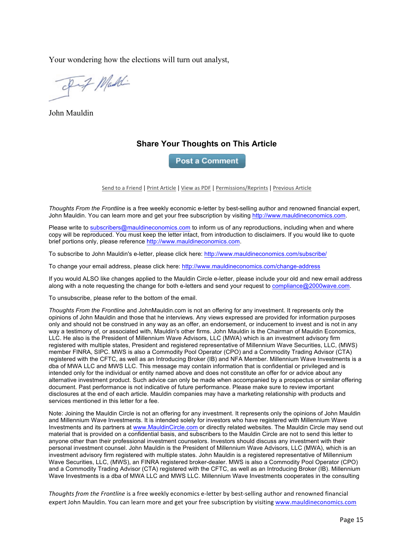Your wondering how the elections will turn out analyst,

Fif Maddi

John Mauldin

# **Share Your Thoughts on This Article**

**Post a Comment** 

Send to a Friend | Print Article | View as PDF | Permissions/Reprints | Previous Article

*Thoughts From the Frontline* is a free weekly economic e-letter by best-selling author and renowned financial expert, John Mauldin. You can learn more and get your free subscription by visiting http://www.mauldineconomics.com.

Please write to subscribers@mauldineconomics.com to inform us of any reproductions, including when and where copy will be reproduced. You must keep the letter intact, from introduction to disclaimers. If you would like to quote brief portions only, please reference http://www.mauldineconomics.com.

To subscribe to John Mauldin's e-letter, please click here: http://www.mauldineconomics.com/subscribe/

To change your email address, please click here: http://www.mauldineconomics.com/change-address

If you would ALSO like changes applied to the Mauldin Circle e-letter, please include your old and new email address along with a note requesting the change for both e-letters and send your request to compliance@2000wave.com.

To unsubscribe, please refer to the bottom of the email.

*Thoughts From the Frontline* and JohnMauldin.com is not an offering for any investment. It represents only the opinions of John Mauldin and those that he interviews. Any views expressed are provided for information purposes only and should not be construed in any way as an offer, an endorsement, or inducement to invest and is not in any way a testimony of, or associated with, Mauldin's other firms. John Mauldin is the Chairman of Mauldin Economics, LLC. He also is the President of Millennium Wave Advisors, LLC (MWA) which is an investment advisory firm registered with multiple states, President and registered representative of Millennium Wave Securities, LLC, (MWS) member FINRA, SIPC. MWS is also a Commodity Pool Operator (CPO) and a Commodity Trading Advisor (CTA) registered with the CFTC, as well as an Introducing Broker (IB) and NFA Member. Millennium Wave Investments is a dba of MWA LLC and MWS LLC. This message may contain information that is confidential or privileged and is intended only for the individual or entity named above and does not constitute an offer for or advice about any alternative investment product. Such advice can only be made when accompanied by a prospectus or similar offering document. Past performance is not indicative of future performance. Please make sure to review important disclosures at the end of each article. Mauldin companies may have a marketing relationship with products and services mentioned in this letter for a fee.

Note: Joining the Mauldin Circle is not an offering for any investment. It represents only the opinions of John Mauldin and Millennium Wave Investments. It is intended solely for investors who have registered with Millennium Wave Investments and its partners at www.MauldinCircle.com or directly related websites. The Mauldin Circle may send out material that is provided on a confidential basis, and subscribers to the Mauldin Circle are not to send this letter to anyone other than their professional investment counselors. Investors should discuss any investment with their personal investment counsel. John Mauldin is the President of Millennium Wave Advisors, LLC (MWA), which is an investment advisory firm registered with multiple states. John Mauldin is a registered representative of Millennium Wave Securities, LLC, (MWS), an FINRA registered broker-dealer. MWS is also a Commodity Pool Operator (CPO) and a Commodity Trading Advisor (CTA) registered with the CFTC, as well as an Introducing Broker (IB). Millennium Wave Investments is a dba of MWA LLC and MWS LLC. Millennium Wave Investments cooperates in the consulting